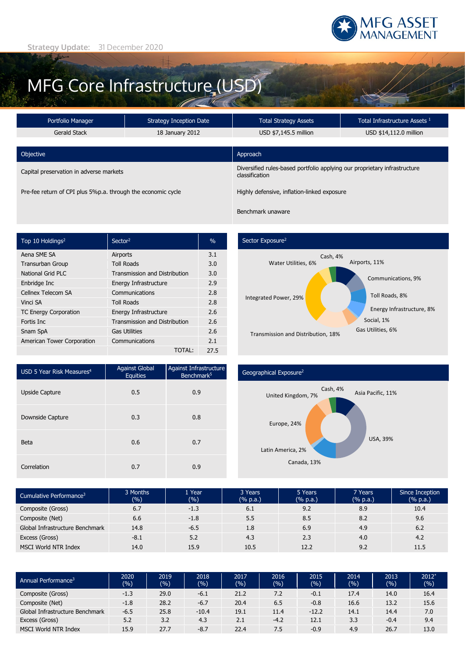

# MFG Core Infrastructure (USD)

| Portfolio Manager                                            | Strategy Inception Date | <b>Total Strategy Assets</b>                                                                | Total Infrastructure Assets <sup>1</sup> |  |
|--------------------------------------------------------------|-------------------------|---------------------------------------------------------------------------------------------|------------------------------------------|--|
| Gerald Stack                                                 | 18 January 2012         | USD \$7,145.5 million                                                                       | USD \$14,112.0 million                   |  |
|                                                              |                         |                                                                                             |                                          |  |
| Objective                                                    |                         | Approach                                                                                    |                                          |  |
| Capital preservation in adverse markets                      |                         | Diversified rules-based portfolio applying our proprietary infrastructure<br>classification |                                          |  |
| Pre-fee return of CPI plus 5%p.a. through the economic cycle |                         | Highly defensive, inflation-linked exposure                                                 |                                          |  |

| Top 10 Holdings <sup>2</sup> | Sector <sup>2</sup>                  | $\%$ |
|------------------------------|--------------------------------------|------|
| Aena SME SA                  | Airports                             | 3.1  |
| <b>Transurban Group</b>      | <b>Toll Roads</b>                    | 3.0  |
| National Grid PLC            | <b>Transmission and Distribution</b> | 3.0  |
| Enbridge Inc                 | Energy Infrastructure                | 2.9  |
| Cellnex Telecom SA           | Communications                       | 2.8  |
| Vinci SA                     | <b>Toll Roads</b>                    | 2.8  |
| <b>TC Energy Corporation</b> | Energy Infrastructure                | 2.6  |
| Fortis Inc.                  | <b>Transmission and Distribution</b> | 2.6  |
| Snam SpA                     | <b>Gas Utilities</b>                 | 2.6  |
| American Tower Corporation   | Communications                       | 2.1  |
|                              | TOTAL:                               | 27.5 |

### Sector Exposure<sup>2</sup>



| USD 5 Year Risk Measures <sup>4</sup> | <b>Against Global</b><br>Equities | Against Infrastructure<br>Benchmark <sup>5</sup> |
|---------------------------------------|-----------------------------------|--------------------------------------------------|
| <b>Upside Capture</b>                 | 0.5                               | 0.9                                              |
| Downside Capture                      | 0.3                               | 0.8                                              |
| <b>Beta</b>                           | 0.6                               | 0.7                                              |
| Correlation                           | 0.7                               | 0.9                                              |

## Geographical Exposure2



| Cumulative Performance <sup>3</sup> | 3 Months<br>(%) | 1 Year<br>(%) | 3 Years<br>(% p.a.) | 5 Years<br>(% p.a.) | 7 Years<br>(% p.a.) | Since Inception<br>$(% \mathbb{R}^2)$ (% p.a.) |
|-------------------------------------|-----------------|---------------|---------------------|---------------------|---------------------|------------------------------------------------|
| Composite (Gross)                   | 6.7             | $-1.3$        | 6.1                 | 9.2                 | 8.9                 | 10.4                                           |
| Composite (Net)                     | 6.6             | $-1.8$        | 5.5                 | 8.5                 | 8.2                 | 9.6                                            |
| Global Infrastructure Benchmark     | 14.8            | $-6.5$        | 1.8                 | 6.9                 | 4.9                 | 6.2                                            |
| Excess (Gross)                      | $-8.1$          | 5.2           | 4.3                 | 2.3                 | 4.0                 | 4.2                                            |
| MSCI World NTR Index                | 14.0            | 15.9          | 10.5                | 12.2                | 9.2                 | 11.5                                           |

| Annual Performance <sup>3</sup> | 2020<br>(9/6) | 2019<br>(%) | 2018<br>(%) | 2017<br>(9) | 2016<br>(%) | 2015<br>$(\% )$ | 2014<br>(%) | 2013<br>(9/6) | $2012*$<br>(%) |
|---------------------------------|---------------|-------------|-------------|-------------|-------------|-----------------|-------------|---------------|----------------|
| Composite (Gross)               | $-1.3$        | 29.0        | $-6.1$      | 21.2        | 7.2         | $-0.1$          | 17.4        | 14.0          | 16.4           |
| Composite (Net)                 | $-1.8$        | 28.2        | $-6.7$      | 20.4        | 6.5         | $-0.8$          | 16.6        | 13.2          | 15.6           |
| Global Infrastructure Benchmark | $-6.5$        | 25.8        | $-10.4$     | 19.1        | 11.4        | $-12.2$         | 14.1        | 14.4          | 7.0            |
| Excess (Gross)                  | 5.2           | 3.2         | 4.3         | 2.1         | $-4.2$      | 12.1            | 3.3         | $-0.4$        | 9.4            |
| MSCI World NTR Index            | 15.9          | 27.7        | $-8.7$      | 22.4        | 7.5         | $-0.9$          | 4.9         | 26.7          | 13.0           |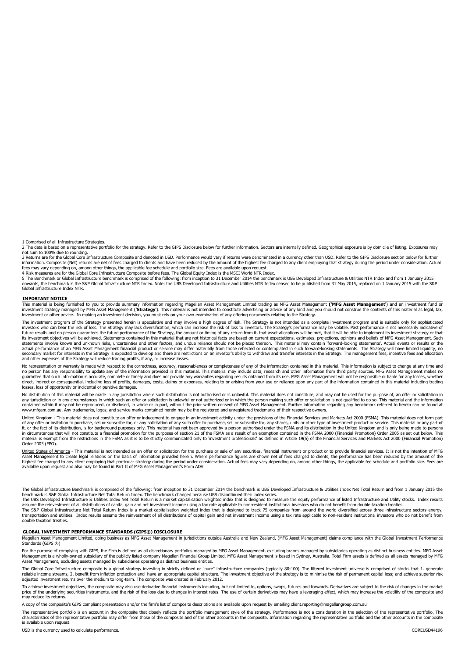1 Comprised of all Infrastructure Strategies.

2 The data is based on a representative portfolio for the strategy. Refer to the GIPS Disclosure below for further information. Sectors are internally defined. Geographical exposure is by domicile of listing. Exposures may

not sum to 100% due to rounding.<br>3 Returns are for the Global Core Infrastructure Composite and denoted in USD. Performance would vary if returns were denominated in a currency other than USD. Refer to the GIPS Disclosure information. Composite (Net) returns are net of fees charged to clients and have been reduced by the amount of the highest fee charged to any client employing that strategy during the period under consideration. Actual<br>fee

4 Risk measures are for the Global Core Infrastructure Composite before fees. The Global Equity Index is the MSCI World NTR Index.<br>5 The Benchmark or Global Infrastructure benchmark is comprised of the following: from ince onwards, the benchmark is the S&P Global Infrastructure NTR Index. Note: the UBS Developed Infrastructure and Utilities NTR Index ceased to be published from 31 May 2015, replaced on 1 January 2015 with the S&P<br>Global Infr

#### **IMPORTANT NOTICE**

This material is being furnished to you to provide summary information regarding Magellan Asset Management i land trading as MFG Asset Management **('MFG Asset Management'**) and an investment fund or<br>investment strategy man investment or other advice. In making an investment decision, you must rely on your own examination of any offering documents relating to the Strategy.

The investment program of the Strategy presented herein is speculative and may involve a high degree of risk. The Strategy is not intended as a complete investment program and is suitable only for sophisticated investors who can bear the risk of loss. The Strategy may lack diversification, which can increase the risk of loss to investors. The Strategy's performance may be volatile. Past performance is not necessarily indicative o statements involve known and unknown risks, uncertainties and other factors, and undue reliance should not be placed thereon. This material may contain 'forward-looking statements'. Actual events or results or the<br>actual p and other expenses of the Strategy will reduce trading profits, if any, or increase losses.

No representation or warranty is made with respect to the correctness, accuracy, reasonableness or completeness of any of the information contained in this material. This information is subject to change at any time and no person has any responsibility to update any of the information provided in this material. This material may include data, research and other information from third party sources. MFG Asset Management makes no guarantee that such information is accurate, complete or timely and does not provide any warranties regarding results obtained from its use. MFG Asset Management will not be responsible or liable for any losses, whether<br>di losses, loss of opportunity or incidental or punitive damages.

No distribution of this material will be made in any jurisdiction where such distribution is not authorised or is unlawful. This material does not constitute, and may not be used for the purpose of, an offer or solicitatio contained within it may not be reproduced, or disclosed, in whole or in part, without the prior written consent of MFG Asset Management. Further information regarding any benchmark referred to herein can be found at<br>www.mf

United Kingdom - This material does not constitute an offer or inducement to engage in an investment activity under the provisions of the Financial Services and Markets Act 2000 (FSMA). This material does not form part of any offer or invitation to purchase, sell or subscribe for, or any suicidation of any such offer to purchase, sell or subscribe for, any shares, units or other type of investment product or service. This material or any it, or the fact of its distribution, is for background purposes only. This material has not been approved by a person authorised under the FSMA and its distribution in the United Kingdom and is only being made to persons<br>i material is exempt from the restrictions in the FSMA as it is to be strictly communicated only to 'investment professionals' as defined in Article 19(5) of the Financial Services and Markets Act 2000 (Financial Promotion) Order 2005 (FPO).

<u>United States of America</u> - This material is not intended as an offer or solicitation for the purchase or sale of any securities, financial instrument or product or to provide financial services. It is not the intention o highest fee charged to any client employing that particular strategy during the period under consideration. Actual fees may vary depending on, among other things, the applicable fee schedule and portfolio size. Fees are<br>av

The Global Infrastructure Benchmark is comprised of the following: from inception to 31 December 2014 the benchmark is UBS Developed Infrastructure & Utilities Index Net Total Return and from 1 January 2015 the

benchmark is S&P Global Infrastructure Net Total Return Index. The benchmark changed because UBS discontinued their index series.<br>The UBS Developed Infrastructure & Utilities Index Net Total Return is a market capitalisati assume the reinvestment of all distributions of capital gain and net investment income using a tax rate applicable to non-resident institutional investors who do not benefit from double taxation treaties.<br>The S&P Global In double taxation treaties.

#### **GLOBAL INVESTMENT PERFORMANCE STANDARDS (GIPS®) DISCLOSURE**

Magellan Asset Management Limited, doing business as MFG Asset Management in jurisdictions outside Australia and New Zealand, (MFG Asset Management) claims compliance with the Global Investment Performance Standards (GIPS ®)

For the purpose of complying with GIPS, the Firm is defined as all discretionary portfolios managed by MFG Asset Management, excluding brands managed by subsidiaries operating as distinct business entities. MFG Asset Management is a wholly-owned subsidiary of the publicly listed company Magellan Financial Group Limited. MFG Asset Management is based in Sydney, Australia. Total Firm assets is defined as all assets managed by MFG<br>Asset M

The Global Core Infrastructure composite is a global strategy investing in strictly defined or "pure" infrastructure companies (typically 80-100). The filtered investment universe is comprised of stocks that 1. generate reliable income streams, 2. benefit from inflation protection and have an appropriate capital structure. The investment objective of the strategy is to minimise the risk of permanent capital loss; and achieve superior risk

To achieve investment objectives, the composite may also use derivative financial instruments including, but not limited to, options, swaps, futures and forwards. Derivatives are subject to the risk of changes in the marke may reduce its returns.

A copy of the composite's GIPS compliant presentation and/or the firm's list of composite descriptions are available upon request by emailing client.reporting@magellangroup.com.au

The representative portfolio is an account in the composite that closely reflects the portfolio management style of the strategy. Performance is not a consideration in the selection of the representative portfolio. The characteristics of the representative portfolio may differ from those of the composite and of the other accounts in the composite. Information regarding the representative portfolio and the other accounts in the composite is available upon request.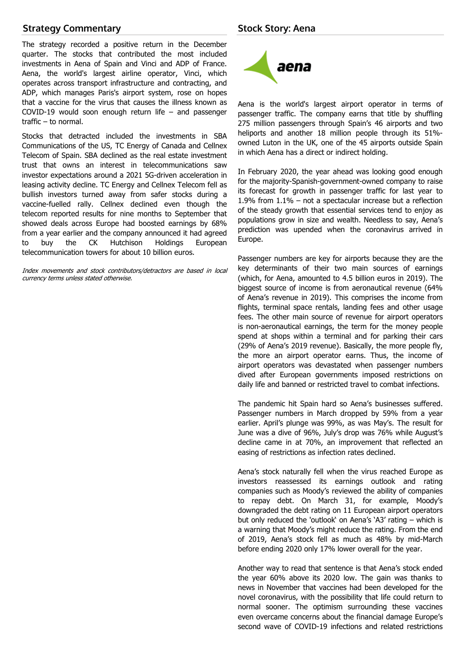# **Strategy Commentary**

The strategy recorded a positive return in the December quarter. The stocks that contributed the most included investments in Aena of Spain and Vinci and ADP of France. Aena, the world's largest airline operator, Vinci, which operates across transport infrastructure and contracting, and ADP, which manages Paris's airport system, rose on hopes that a vaccine for the virus that causes the illness known as COVID-19 would soon enough return life – and passenger traffic – to normal.

Stocks that detracted included the investments in SBA Communications of the US, TC Energy of Canada and Cellnex Telecom of Spain. SBA declined as the real estate investment trust that owns an interest in telecommunications saw investor expectations around a 2021 5G-driven acceleration in leasing activity decline. TC Energy and Cellnex Telecom fell as bullish investors turned away from safer stocks during a vaccine-fuelled rally. Cellnex declined even though the telecom reported results for nine months to September that showed deals across Europe had boosted earnings by 68% from a year earlier and the company announced it had agreed to buy the CK Hutchison Holdings European telecommunication towers for about 10 billion euros.

Index movements and stock contributors/detractors are based in local currency terms unless stated otherwise.



Aena is the world's largest airport operator in terms of passenger traffic. The company earns that title by shuffling 275 million passengers through Spain's 46 airports and two heliports and another 18 million people through its 51% owned Luton in the UK, one of the 45 airports outside Spain in which Aena has a direct or indirect holding.

In February 2020, the year ahead was looking good enough for the majority-Spanish-government-owned company to raise its forecast for growth in passenger traffic for last year to 1.9% from 1.1% – not a spectacular increase but a reflection of the steady growth that essential services tend to enjoy as populations grow in size and wealth. Needless to say, Aena's prediction was upended when the coronavirus arrived in Europe.

Passenger numbers are key for airports because they are the key determinants of their two main sources of earnings (which, for Aena, amounted to 4.5 billion euros in 2019). The biggest source of income is from aeronautical revenue (64% of Aena's revenue in 2019). This comprises the income from flights, terminal space rentals, landing fees and other usage fees. The other main source of revenue for airport operators is non-aeronautical earnings, the term for the money people spend at shops within a terminal and for parking their cars (29% of Aena's 2019 revenue). Basically, the more people fly, the more an airport operator earns. Thus, the income of airport operators was devastated when passenger numbers dived after European governments imposed restrictions on daily life and banned or restricted travel to combat infections.

The pandemic hit Spain hard so Aena's businesses suffered. Passenger numbers in March dropped by 59% from a year earlier. April's plunge was 99%, as was May's. The result for June was a dive of 96%, July's drop was 76% while August's decline came in at 70%, an improvement that reflected an easing of restrictions as infection rates declined.

Aena's stock naturally fell when the virus reached Europe as investors reassessed its earnings outlook and rating companies such as Moody's reviewed the ability of companies to repay debt. On March 31, for example, Moody's downgraded the debt rating on 11 European airport operators but only reduced the 'outlook' on Aena's 'A3' rating – which is a warning that Moody's might reduce the rating. From the end of 2019, Aena's stock fell as much as 48% by mid-March before ending 2020 only 17% lower overall for the year.

Another way to read that sentence is that Aena's stock ended the year 60% above its 2020 low. The gain was thanks to news in November that vaccines had been developed for the novel coronavirus, with the possibility that life could return to normal sooner. The optimism surrounding these vaccines even overcame concerns about the financial damage Europe's second wave of COVID-19 infections and related restrictions